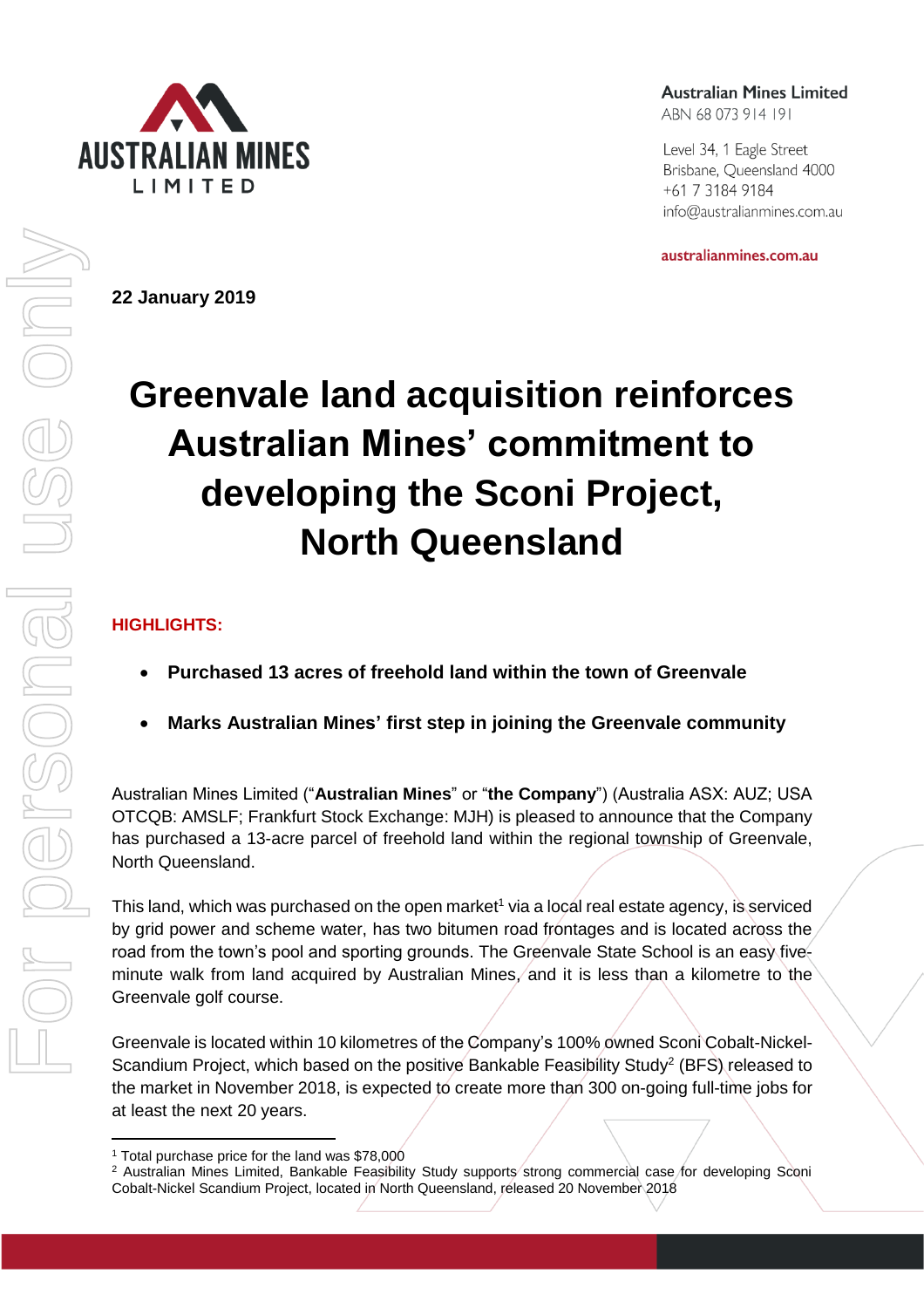

**22 January 2019** 

**Australian Mines Limited** 

ABN 68 073 914 191

Level 34, 1 Eagle Street Brisbane, Queensland 4000 +61 7 3184 9184 info@australianmines.com.au

australianmines.com.au

# **Greenvale land acquisition reinforces Australian Mines' commitment to developing the Sconi Project, North Queensland**

## **HIGHLIGHTS:**

- **Purchased 13 acres of freehold land within the town of Greenvale**
- **Marks Australian Mines' first step in joining the Greenvale community**

Australian Mines Limited ("**Australian Mines**" or "**the Company**") (Australia ASX: AUZ; USA OTCQB: AMSLF; Frankfurt Stock Exchange: MJH) is pleased to announce that the Company has purchased a 13-acre parcel of freehold land within the regional township of Greenvale, North Queensland.

This land, which was purchased on the open market<sup>1</sup> via a local real estate agency, is serviced by grid power and scheme water, has two bitumen road frontages and is located across the road from the town's pool and sporting grounds. The Greenvale State School is an easy fiveminute walk from land acquired by Australian Mines, and it is less than a kilometre to the Greenvale golf course.

Greenvale is located within 10 kilometres of the Company's 100% owned Sconi Cobalt-Nickel-Scandium Project, which based on the positive Bankable Feasibility Study<sup>2</sup> (BFS) released to the market in November 2018, is expected to create more than 300 on-going full-time jobs for at least the next 20 years.

l <sup>1</sup> Total purchase price for the land was \$78,000

<sup>&</sup>lt;sup>2</sup> Australian Mines Limited, Bankable Feasibility Study supports strong commercial case for developing Sconi Cobalt-Nickel Scandium Project, located in North Queensland, released 20 November 2018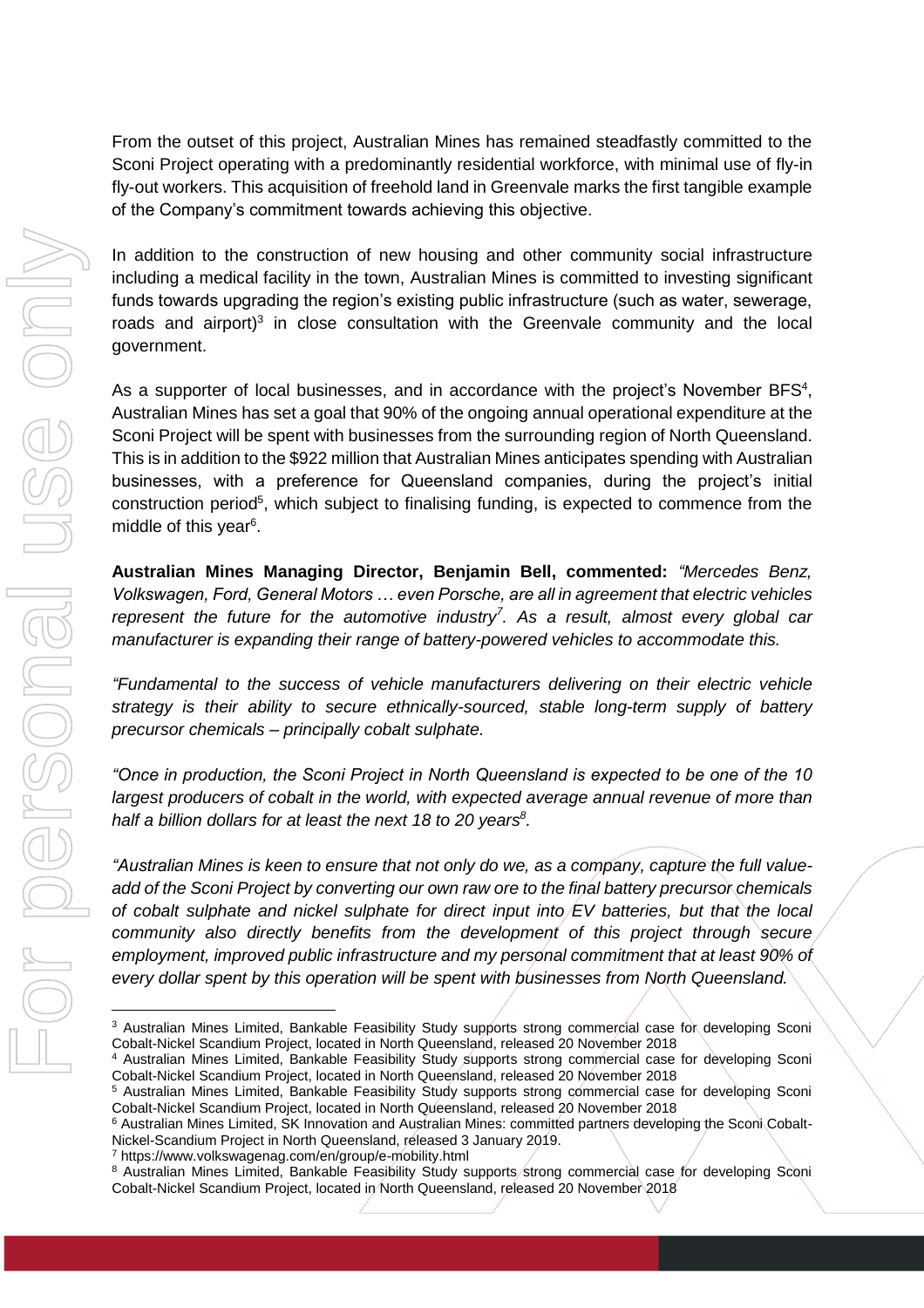From the outset of this project, Australian Mines has remained steadfastly committed to the Sconi Project operating with a predominantly residential workforce, with minimal use of fly-in fly-out workers. This acquisition of freehold land in Greenvale marks the first tangible example of the Company's commitment towards achieving this objective.

In addition to the construction of new housing and other community social infrastructure including a medical facility in the town, Australian Mines is committed to investing significant funds towards upgrading the region's existing public infrastructure (such as water, sewerage, roads and airport)<sup>3</sup> in close consultation with the Greenvale community and the local government.

As a supporter of local businesses, and in accordance with the project's November BFS<sup>4</sup>, Australian Mines has set a goal that 90% of the ongoing annual operational expenditure at the Sconi Project will be spent with businesses from the surrounding region of North Queensland. This is in addition to the \$922 million that Australian Mines anticipates spending with Australian businesses, with a preference for Queensland companies, during the project's initial construction period<sup>5</sup>, which subject to finalising funding, is expected to commence from the middle of this year<sup>6</sup>.

**Australian Mines Managing Director, Benjamin Bell, commented:** *"Mercedes Benz, Volkswagen, Ford, General Motors … even Porsche, are all in agreement that electric vehicles represent the future for the automotive industry<sup>7</sup> . As a result, almost every global car manufacturer is expanding their range of battery-powered vehicles to accommodate this.* 

*"Fundamental to the success of vehicle manufacturers delivering on their electric vehicle strategy is their ability to secure ethnically-sourced, stable long-term supply of battery precursor chemicals – principally cobalt sulphate.* 

*"Once in production, the Sconi Project in North Queensland is expected to be one of the 10 largest producers of cobalt in the world, with expected average annual revenue of more than half a billion dollars for at least the next 18 to 20 years<sup>8</sup> .* 

*"Australian Mines is keen to ensure that not only do we, as a company, capture the full valueadd of the Sconi Project by converting our own raw ore to the final battery precursor chemicals of cobalt sulphate and nickel sulphate for direct input into EV batteries, but that the local community also directly benefits from the development of this project through secure employment, improved public infrastructure and my personal commitment that at least 90% of every dollar spent by this operation will be spent with businesses from North Queensland.* 

<sup>7</sup> https://www.volkswagenag.com/en/group/e-mobility.html

l

<sup>&</sup>lt;sup>3</sup> Australian Mines Limited, Bankable Feasibility Study supports strong commercial case for developing Sconi Cobalt-Nickel Scandium Project, located in North Queensland, released 20 November 2018

<sup>4</sup> Australian Mines Limited, Bankable Feasibility Study supports strong commercial case for developing Sconi Cobalt-Nickel Scandium Project, located in North Queensland, released 20 November 2018

<sup>&</sup>lt;sup>5</sup> Australian Mines Limited, Bankable Feasibility Study supports strong commercial case for developing Sconi Cobalt-Nickel Scandium Project, located in North Queensland, released 20 November 2018

<sup>6</sup> Australian Mines Limited, SK Innovation and Australian Mines: committed partners developing the Sconi Cobalt-Nickel-Scandium Project in North Queensland, released 3 January 2019.

<sup>8</sup> Australian Mines Limited, Bankable Feasibility Study supports strong commercial case for developing Sconi Cobalt-Nickel Scandium Project, located in North Queensland, released 20 November 2018